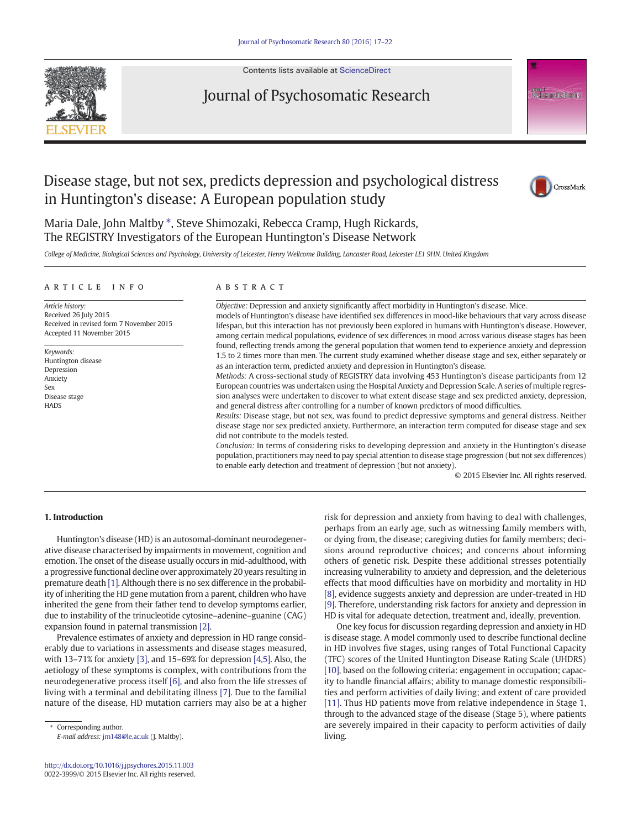

#### Contents lists available at [ScienceDirect](http://www.sciencedirect.com/science/journal/)

## Journal of Psychosomatic Research

# Disease stage, but not sex, predicts depression and psychological distress in Huntington's disease: A European population study



<sup>2</sup>sychosomatic Research

Maria Dale, John Maltby \*, Steve Shimozaki, Rebecca Cramp, Hugh Rickards, The REGISTRY Investigators of the European Huntington's Disease Network

College of Medicine, Biological Sciences and Psychology, University of Leicester, Henry Wellcome Building, Lancaster Road, Leicester LE1 9HN, United Kingdom

#### article info abstract

Article history: Received 26 July 2015 Received in revised form 7 November 2015 Accepted 11 November 2015

Keywords: Huntington disease Depression Anxiety Sex Disease stage **HADS** 

Objective: Depression and anxiety significantly affect morbidity in Huntington's disease. Mice. models of Huntington's disease have identified sex differences in mood-like behaviours that vary across disease

lifespan, but this interaction has not previously been explored in humans with Huntington's disease. However, among certain medical populations, evidence of sex differences in mood across various disease stages has been found, reflecting trends among the general population that women tend to experience anxiety and depression 1.5 to 2 times more than men. The current study examined whether disease stage and sex, either separately or as an interaction term, predicted anxiety and depression in Huntington's disease.

Methods: A cross-sectional study of REGISTRY data involving 453 Huntington's disease participants from 12 European countries was undertaken using the Hospital Anxiety and Depression Scale. A series of multiple regression analyses were undertaken to discover to what extent disease stage and sex predicted anxiety, depression, and general distress after controlling for a number of known predictors of mood difficulties.

Results: Disease stage, but not sex, was found to predict depressive symptoms and general distress. Neither disease stage nor sex predicted anxiety. Furthermore, an interaction term computed for disease stage and sex did not contribute to the models tested.

Conclusion: In terms of considering risks to developing depression and anxiety in the Huntington's disease population, practitioners may need to pay special attention to disease stage progression (but not sex differences) to enable early detection and treatment of depression (but not anxiety).

© 2015 Elsevier Inc. All rights reserved.

### 1. Introduction

Huntington's disease (HD) is an autosomal-dominant neurodegenerative disease characterised by impairments in movement, cognition and emotion. The onset of the disease usually occurs in mid-adulthood, with a progressive functional decline over approximately 20 years resulting in premature death [\[1\]](#page--1-0). Although there is no sex difference in the probability of inheriting the HD gene mutation from a parent, children who have inherited the gene from their father tend to develop symptoms earlier, due to instability of the trinucleotide cytosine–adenine–guanine (CAG) expansion found in paternal transmission [\[2\].](#page--1-0)

Prevalence estimates of anxiety and depression in HD range considerably due to variations in assessments and disease stages measured, with 13–71% for anxiety [\[3\]](#page--1-0), and 15–69% for depression [\[4,5\].](#page--1-0) Also, the aetiology of these symptoms is complex, with contributions from the neurodegenerative process itself [\[6\]](#page--1-0), and also from the life stresses of living with a terminal and debilitating illness [\[7\].](#page--1-0) Due to the familial nature of the disease, HD mutation carriers may also be at a higher

Corresponding author. E-mail address: [jm148@le.ac.uk](mailto:jm148@le.ac.uk) (J. Maltby). risk for depression and anxiety from having to deal with challenges, perhaps from an early age, such as witnessing family members with, or dying from, the disease; caregiving duties for family members; decisions around reproductive choices; and concerns about informing others of genetic risk. Despite these additional stresses potentially increasing vulnerability to anxiety and depression, and the deleterious effects that mood difficulties have on morbidity and mortality in HD [\[8\]](#page--1-0), evidence suggests anxiety and depression are under-treated in HD [\[9\]](#page--1-0). Therefore, understanding risk factors for anxiety and depression in HD is vital for adequate detection, treatment and, ideally, prevention.

One key focus for discussion regarding depression and anxiety in HD is disease stage. A model commonly used to describe functional decline in HD involves five stages, using ranges of Total Functional Capacity (TFC) scores of the United Huntington Disease Rating Scale (UHDRS) [\[10\],](#page--1-0) based on the following criteria: engagement in occupation; capacity to handle financial affairs; ability to manage domestic responsibilities and perform activities of daily living; and extent of care provided [\[11\]](#page--1-0). Thus HD patients move from relative independence in Stage 1, through to the advanced stage of the disease (Stage 5), where patients are severely impaired in their capacity to perform activities of daily living.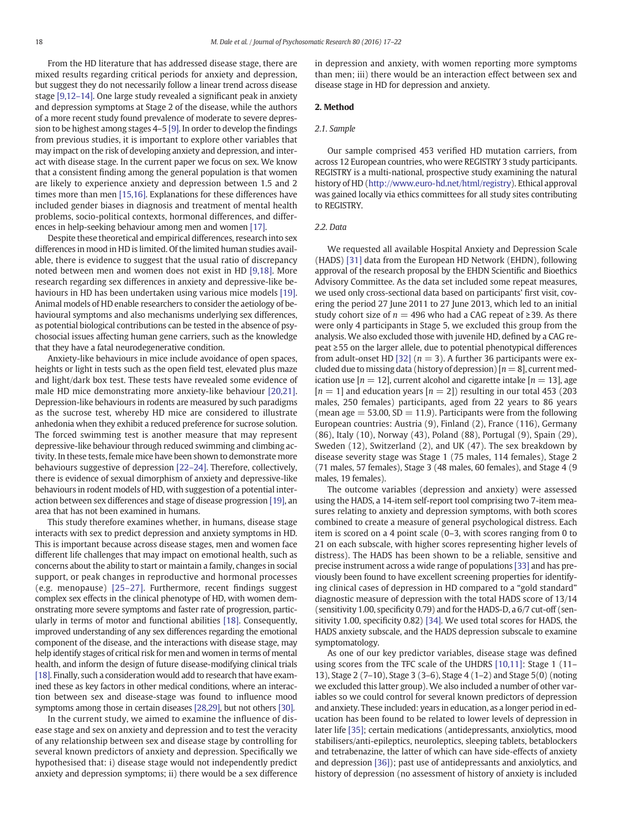From the HD literature that has addressed disease stage, there are mixed results regarding critical periods for anxiety and depression, but suggest they do not necessarily follow a linear trend across disease stage [\[9,12](#page--1-0)–14]. One large study revealed a significant peak in anxiety and depression symptoms at Stage 2 of the disease, while the authors of a more recent study found prevalence of moderate to severe depression to be highest among stages 4–5 [\[9\]](#page--1-0). In order to develop the findings from previous studies, it is important to explore other variables that may impact on the risk of developing anxiety and depression, and interact with disease stage. In the current paper we focus on sex. We know that a consistent finding among the general population is that women are likely to experience anxiety and depression between 1.5 and 2 times more than men [\[15,16\]](#page--1-0). Explanations for these differences have included gender biases in diagnosis and treatment of mental health problems, socio-political contexts, hormonal differences, and differences in help-seeking behaviour among men and women [\[17\].](#page--1-0)

Despite these theoretical and empirical differences, research into sex differences in mood in HD is limited. Of the limited human studies available, there is evidence to suggest that the usual ratio of discrepancy noted between men and women does not exist in HD [\[9,18\].](#page--1-0) More research regarding sex differences in anxiety and depressive-like behaviours in HD has been undertaken using various mice models [\[19\].](#page--1-0) Animal models of HD enable researchers to consider the aetiology of behavioural symptoms and also mechanisms underlying sex differences, as potential biological contributions can be tested in the absence of psychosocial issues affecting human gene carriers, such as the knowledge that they have a fatal neurodegenerative condition.

Anxiety-like behaviours in mice include avoidance of open spaces, heights or light in tests such as the open field test, elevated plus maze and light/dark box test. These tests have revealed some evidence of male HD mice demonstrating more anxiety-like behaviour [\[20,21\].](#page--1-0) Depression-like behaviours in rodents are measured by such paradigms as the sucrose test, whereby HD mice are considered to illustrate anhedonia when they exhibit a reduced preference for sucrose solution. The forced swimming test is another measure that may represent depressive-like behaviour through reduced swimming and climbing activity. In these tests, female mice have been shown to demonstrate more behaviours suggestive of depression [22–[24\].](#page--1-0) Therefore, collectively, there is evidence of sexual dimorphism of anxiety and depressive-like behaviours in rodent models of HD, with suggestion of a potential interaction between sex differences and stage of disease progression [\[19\],](#page--1-0) an area that has not been examined in humans.

This study therefore examines whether, in humans, disease stage interacts with sex to predict depression and anxiety symptoms in HD. This is important because across disease stages, men and women face different life challenges that may impact on emotional health, such as concerns about the ability to start or maintain a family, changes in social support, or peak changes in reproductive and hormonal processes (e.g. menopause) [\[25](#page--1-0)–27]. Furthermore, recent findings suggest complex sex effects in the clinical phenotype of HD, with women demonstrating more severe symptoms and faster rate of progression, particularly in terms of motor and functional abilities [\[18\].](#page--1-0) Consequently, improved understanding of any sex differences regarding the emotional component of the disease, and the interactions with disease stage, may help identify stages of critical risk for men and women in terms of mental health, and inform the design of future disease-modifying clinical trials [\[18\].](#page--1-0) Finally, such a consideration would add to research that have examined these as key factors in other medical conditions, where an interaction between sex and disease-stage was found to influence mood symptoms among those in certain diseases [\[28,29\],](#page--1-0) but not others [\[30\].](#page--1-0)

In the current study, we aimed to examine the influence of disease stage and sex on anxiety and depression and to test the veracity of any relationship between sex and disease stage by controlling for several known predictors of anxiety and depression. Specifically we hypothesised that: i) disease stage would not independently predict anxiety and depression symptoms; ii) there would be a sex difference in depression and anxiety, with women reporting more symptoms than men; iii) there would be an interaction effect between sex and disease stage in HD for depression and anxiety.

#### 2. Method

#### 2.1. Sample

Our sample comprised 453 verified HD mutation carriers, from across 12 European countries, who were REGISTRY 3 study participants. REGISTRY is a multi-national, prospective study examining the natural history of HD [\(http://www.euro-hd.net/html/registry](http://www.eurod.net/html/registry)). Ethical approval was gained locally via ethics committees for all study sites contributing to REGISTRY.

#### 2.2. Data

We requested all available Hospital Anxiety and Depression Scale (HADS) [\[31\]](#page--1-0) data from the European HD Network (EHDN), following approval of the research proposal by the EHDN Scientific and Bioethics Advisory Committee. As the data set included some repeat measures, we used only cross-sectional data based on participants' first visit, covering the period 27 June 2011 to 27 June 2013, which led to an initial study cohort size of  $n = 496$  who had a CAG repeat of  $\geq$ 39. As there were only 4 participants in Stage 5, we excluded this group from the analysis. We also excluded those with juvenile HD, defined by a CAG repeat ≥55 on the larger allele, due to potential phenotypical differences from adult-onset HD [\[32\]](#page--1-0) ( $n = 3$ ). A further 36 participants were excluded due to missing data (history of depression)  $[n = 8]$ , current medication use  $[n = 12]$ , current alcohol and cigarette intake  $[n = 13]$ , age  $[n = 1]$  and education years  $[n = 2]$  resulting in our total 453 (203) males, 250 females) participants, aged from 22 years to 86 years (mean age  $=$  53.00, SD  $=$  11.9). Participants were from the following European countries: Austria (9), Finland (2), France (116), Germany (86), Italy (10), Norway (43), Poland (88), Portugal (9), Spain (29), Sweden (12), Switzerland (2), and UK (47). The sex breakdown by disease severity stage was Stage 1 (75 males, 114 females), Stage 2 (71 males, 57 females), Stage 3 (48 males, 60 females), and Stage 4 (9 males, 19 females).

The outcome variables (depression and anxiety) were assessed using the HADS, a 14-item self-report tool comprising two 7-item measures relating to anxiety and depression symptoms, with both scores combined to create a measure of general psychological distress. Each item is scored on a 4 point scale (0–3, with scores ranging from 0 to 21 on each subscale, with higher scores representing higher levels of distress). The HADS has been shown to be a reliable, sensitive and precise instrument across a wide range of populations [\[33\]](#page--1-0) and has previously been found to have excellent screening properties for identifying clinical cases of depression in HD compared to a "gold standard" diagnostic measure of depression with the total HADS score of 13/14 (sensitivity 1.00, specificity 0.79) and for the HADS-D, a 6/7 cut-off (sensitivity 1.00, specificity 0.82) [\[34\]](#page--1-0). We used total scores for HADS, the HADS anxiety subscale, and the HADS depression subscale to examine symptomatology.

As one of our key predictor variables, disease stage was defined using scores from the TFC scale of the UHDRS [\[10,11\]](#page--1-0): Stage 1 (11– 13), Stage 2 (7–10), Stage 3 (3–6), Stage 4 (1–2) and Stage 5(0) (noting we excluded this latter group). We also included a number of other variables so we could control for several known predictors of depression and anxiety. These included: years in education, as a longer period in education has been found to be related to lower levels of depression in later life [\[35\]](#page--1-0); certain medications (antidepressants, anxiolytics, mood stabilisers/anti-epileptics, neuroleptics, sleeping tablets, betablockers and tetrabenazine, the latter of which can have side-effects of anxiety and depression [\[36\]](#page--1-0)); past use of antidepressants and anxiolytics, and history of depression (no assessment of history of anxiety is included